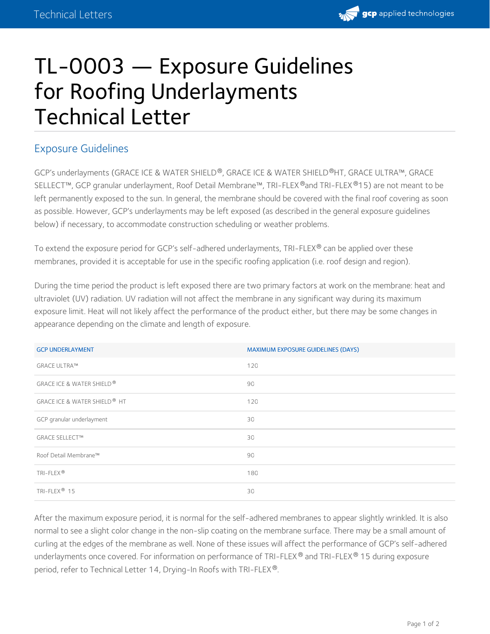

## TL-0003 — Exposure Guidelines for Roofing Underlayments Technical Letter

## Exposure Guidelines

GCP's underlayments (GRACE ICE & WATER SHIELD®, GRACE ICE & WATER SHIELD®HT, GRACE ULTRA™, GRACE SELLECT™, GCP granular underlayment, Roof Detail Membrane™, TRI-FLEX ®and TRI-FLEX ®15) are not meant to be left permanently exposed to the sun. In general, the membrane should be covered with the final roof covering as soon as possible. However, GCP's underlayments may be left exposed (as described in the general exposure guidelines below) if necessary, to accommodate construction scheduling or weather problems.

To extend the exposure period for GCP's self-adhered underlayments, TRI-FLEX® can be applied over these membranes, provided it is acceptable for use in the specific roofing application (i.e. roof design and region).

During the time period the product is left exposed there are two primary factors at work on the membrane: heat and ultraviolet (UV) radiation. UV radiation will not affect the membrane in any significant way during its maximum exposure limit. Heat will not likely affect the performance of the product either, but there may be some changes in appearance depending on the climate and length of exposure.

| <b>GCP UNDERLAYMENT</b>                         | MAXIMUM EXPOSURE GUIDELINES (DAYS) |
|-------------------------------------------------|------------------------------------|
| <b>GRACE ULTRA™</b>                             | 120                                |
| <b>GRACE ICE &amp; WATER SHIELD<sup>®</sup></b> | 90                                 |
| GRACE ICE & WATER SHIELD <sup>®</sup> HT        | 120                                |
| GCP granular underlayment                       | 30                                 |
| <b>GRACE SELLECT™</b>                           | 30                                 |
| Roof Detail Membrane™                           | 90                                 |
| TRI-FLEX®                                       | 180                                |
| TRI-FLEX <sup>®</sup> 15                        | 30                                 |

After the maximum exposure period, it is normal for the self-adhered membranes to appear slightly wrinkled. It is also normal to see a slight color change in the non-slip coating on the membrane surface. There may be a small amount of curling at the edges of the membrane as well. None of these issues will affect the performance of GCP's self-adhered underlayments once covered. For information on performance of TRI-FLEX® and TRI-FLEX® 15 during exposure period, refer to Technical Letter 14, Drying-In Roofs with TRI-FLEX®.